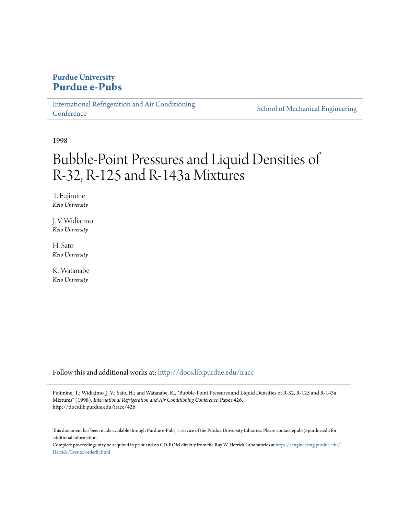# **Purdue University [Purdue e-Pubs](http://docs.lib.purdue.edu?utm_source=docs.lib.purdue.edu%2Firacc%2F426&utm_medium=PDF&utm_campaign=PDFCoverPages)**

[International Refrigeration and Air Conditioning](http://docs.lib.purdue.edu/iracc?utm_source=docs.lib.purdue.edu%2Firacc%2F426&utm_medium=PDF&utm_campaign=PDFCoverPages) **[Conference](http://docs.lib.purdue.edu/iracc?utm_source=docs.lib.purdue.edu%2Firacc%2F426&utm_medium=PDF&utm_campaign=PDFCoverPages)** 

[School of Mechanical Engineering](http://docs.lib.purdue.edu/me?utm_source=docs.lib.purdue.edu%2Firacc%2F426&utm_medium=PDF&utm_campaign=PDFCoverPages)

1998

# Bubble-Point Pressures and Liquid Densities of R-32, R-125 and R-143a Mixtures

T. Fujimine *Keio University*

J. V. Widiatmo *Keio University*

H. Sato *Keio University*

K. Watanabe *Keio University*

Follow this and additional works at: [http://docs.lib.purdue.edu/iracc](http://docs.lib.purdue.edu/iracc?utm_source=docs.lib.purdue.edu%2Firacc%2F426&utm_medium=PDF&utm_campaign=PDFCoverPages)

Fujimine, T.; Widiatmo, J. V.; Sato, H.; and Watanabe, K., "Bubble-Point Pressures and Liquid Densities of R-32, R-125 and R-143a Mixtures" (1998). *International Refrigeration and Air Conditioning Conference.* Paper 426. http://docs.lib.purdue.edu/iracc/426

This document has been made available through Purdue e-Pubs, a service of the Purdue University Libraries. Please contact epubs@purdue.edu for additional information.

Complete proceedings may be acquired in print and on CD-ROM directly from the Ray W. Herrick Laboratories at [https://engineering.purdue.edu/](https://engineering.purdue.edu/Herrick/Events/orderlit.html) [Herrick/Events/orderlit.html](https://engineering.purdue.edu/Herrick/Events/orderlit.html)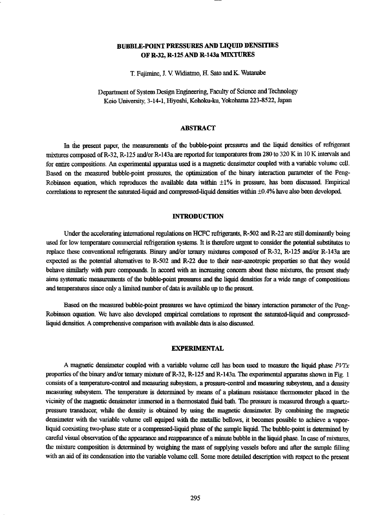## BUBBLE-POINT PRESSURES AND LIQUID DENSITIES OF R-32, R-125 AND R-143a MIXTURES

T. Fujimine, J. V Widiatmo, H. Sato and K. Watanabe

Department of System Design Engineering, Faculty of Science and Technology Keio University, 3-14-1, Hiyoshi, Kohoku-ku, Yokohama 223-8522, Japan

### ABSTRACT

In the present paper, the measurements of the bubble-point pressures and the liquid densities of refrigerant mixtures composed of R-32, R-125 and/or R-143a are reported for temperatures from 280 to 320 K in 10 K intervals and for entire compositions. An experimental apparatus used is a magnetic densimeter coupled with a variable volume cell. Based on the measured bubble-point pressures, the optimization of the binary interaction parameter of the Peng-Robinson equation, which reproduces the available data within ±1% in pressure, has been discussed Empirical correlations to represent the saturated-liquid and compressed-liquid densities within ±0.4% have also been developed

#### INTRODUCTION

Under the accelerating international regulations on HCFC refrigerants, R-502 and R-22 are still dominantly being used for low temperature commercial refrigeration systems. It is therefore urgent to consider the potential substitutes to replace these conventional refrigerants. Binary and/or ternary mixtures composed of R-32, R-125 and/or R-143a are expected as the potential alternatives to R-502 and R-22 due to their near-azeotropic properties so that they would behave similarly with pure compounds. In accord with an increasing concern about these mixtures, the present study aims systematic measurements of the bubble-point pressures and the liquid densities for a wide rnnge of compositions and temperatures since only a limited number of data is available up to the present

Based on the measured bubble-point pressures we have optimized the binary interaction parameter of the Peng-Robinson equation. We have also developed empirical correlations to represent the saturated-liquid and compressedliquid densities. A comprehensive comparison with available data is also discussed.

#### EXPERIMENTAL

A magnetic densimeter coupled with a variable volume cell has been used to measure the liquid phase *PVI'r*  properties of the binary and/or ternary mixture of R-32, R-125 and R-143a. The experimental apparatus shown in Fig. 1 consists of a tempernture-control and measuring subsystem, a pressure-control and measuring subsystem, and a density measuring subsystem. The tempernture is determined by means of a platinwn resistance thermometer placed in the vicinity of the magnetic densimeter immersed in a thermostated fluid bath. The pressure is measured through a quartzpressure transducer, while the density is obtained by using the magnetic densimeter. By combining the magnetic densimeter with the variable volume cell equiped with the metallic bellows, it becomes possible to achieve a vaporliquid coexisting two-phase state or a compressed-liquid phase of the sample liquid. The bubble-point is determined by careful visual observation of the appearance and reappearance of a minute bubble in the liquid phase. In case of mixtures, the mixture composition is determined by weighing the mass of supplying vessels before and after the sample filling with an aid of its condensation into the variable volume cell. Some more detailed description with respect to the present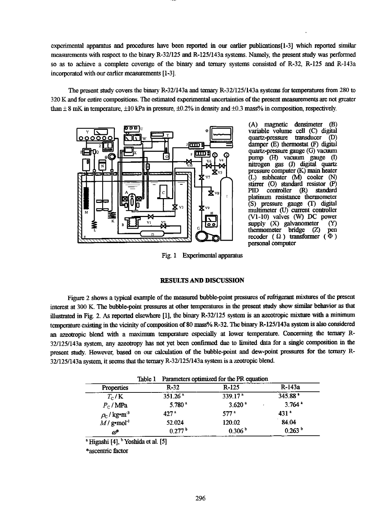experimental apparatus and procedures have been reported in our earlier publications[1-3] which reported similar measurements with respect to the binary R-321125 and R-1251143a systems. Namely, the present study was performed so as to achieve a complete coverage of the binary and ternary systems consisted of R-32, R-125 and R-143a incorporated with our earlier measurements [1-3].

The present study covers the binary R-321143a and ternary R-3211251143a systems for temperatures from 280 to 320 K and for entire compositions. The estimated experimental uncertainties of the present measurements are not greater than  $\pm 8$  mK in temperature,  $\pm 10$  kPa in pressure,  $\pm 0.2\%$  in density and  $\pm 0.3$  mass% in composition, respectively.



(A) magnetic densimeter (B) variable volume cell (C) digital quartz-pressure transducer damper (E) thermostat (F) digital quartz-pressure gauge (G) vacmun pump (H) vacuum gauge (I) nitrogen gas (J) digital quartz pressure computer (K) main heater (L) subheater (M) cooler (N) stirrer (O) standard resistor (P)<br>PID controller (R) standard controller platinum resistance thermometer (S) pressure gauge (I) digital multimeter (U) current controller (Vl-10) valves (W) DC power supply (X) galvanometer (Y) thermometer bridge (Z) pen recoder  $(Q)$  transformer  $(\Phi)$ personal computer

Fig. 1 Experimental apparatus

#### RESULTS AND DISCUSSION

Figure 2 shows a typical example of the measured bubble-point pressures of refrigerant mixlures of the present interest at 300 K. The bubble-point pressures at other temperatures in the present study show similar behavior as that illustrated in Fig. 2. As reported elsewhere [1], the binary R-32/125 system is an azeotropic mixture with a minimum temperature existing in the vicinity of composition of 80 mass% R-32. The binary R-125/143a system is also considered an azeotropic blend with a maximum temperature especially at lower temperature. Concerning the temary R-32/125/143a system, any azeotropy has not yet been confirmed due to limited data for a single composition in the present study. However, based on our calculation of the bubble-point and dew-point pressures for the ternary R-32/125/143a system, it seems that the ternary R-32/125/143a system is a zeotropic blend.

|                                     | Parameters optimized for the PR equation<br>Table 1 |                     |                      |  |  |
|-------------------------------------|-----------------------------------------------------|---------------------|----------------------|--|--|
| <b>Properties</b>                   | $R-32$                                              | $R-125$             | R-143a               |  |  |
| $T_c/K$                             | 351.26 <sup>a</sup>                                 | 339.17 <sup>a</sup> | 345.88               |  |  |
| $P_{\rm C}$ / MPa                   | 5.780 <sup>a</sup>                                  | 3.620 <sup>a</sup>  | $3.764$ <sup>a</sup> |  |  |
| $\rho_{\rm C}$ / kg•m <sup>-3</sup> | 42.7 <sup>a</sup>                                   | 577 <sup>a</sup>    | 431 <sup>4</sup>     |  |  |
| $M/g$ mol <sup>-1</sup>             | 52.024                                              | 120.02              | 84.04                |  |  |
| $\omega^*$                          | 0.277 <sup>b</sup>                                  | 0.306 <sup>b</sup>  | 0.263 <sup>b</sup>   |  |  |

 $^{\circ}$  Higashi [4],  $^{\circ}$  Yoshida et al. [5]

\*ascentric factor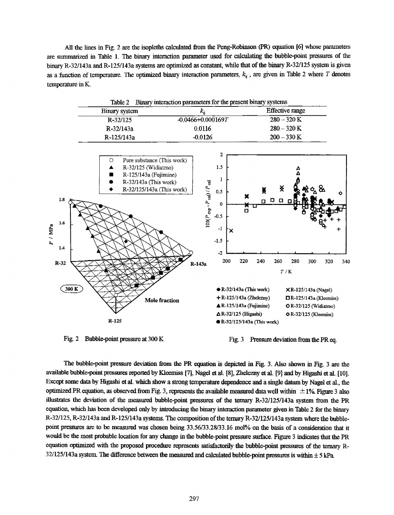All the lines in Fig. 2 are the isopleths calculated from the Peng-Robinson (PR) equation [6] whose parnmeters are summarized in Table 1. The binary interaction parameter used for calculating the bubble-point pressures of the binary R-32/143a and R-125/143a systems are optimized as constant, while that of the binary R-32/125 system is given as a function of temperature. The optimized binary interaction parameters,  $k_{ii}$ , are given in Table 2 where  $T$  denotes temperature inK.

|                                                 | Table 2                                                                                                                                                              | Binary interaction parameters for the present binary systems                                                               |                                                                                                                                                                          |                                 |                                 |                                                                                                                       |               |     |
|-------------------------------------------------|----------------------------------------------------------------------------------------------------------------------------------------------------------------------|----------------------------------------------------------------------------------------------------------------------------|--------------------------------------------------------------------------------------------------------------------------------------------------------------------------|---------------------------------|---------------------------------|-----------------------------------------------------------------------------------------------------------------------|---------------|-----|
|                                                 | <b>Binary</b> system                                                                                                                                                 | $k_{\rm n}$                                                                                                                |                                                                                                                                                                          |                                 | <b>Effective range</b>          |                                                                                                                       |               |     |
|                                                 | R-32/125                                                                                                                                                             | $-0.0466 + 0.000169T$                                                                                                      |                                                                                                                                                                          |                                 | $280 - 320$ K                   |                                                                                                                       |               |     |
|                                                 | R-32/143a                                                                                                                                                            | 0.0116                                                                                                                     |                                                                                                                                                                          |                                 | $280 - 320$ K                   |                                                                                                                       |               |     |
|                                                 | R-125/143a                                                                                                                                                           | $-0.0126$                                                                                                                  |                                                                                                                                                                          |                                 | $200 - 330$ K                   |                                                                                                                       |               |     |
| 1.8<br>1.6<br>P / MPa<br>1.4<br>$R-32$<br>300 K | Pure substance (This work)<br>O<br>R-32/125 (Widiatmo)<br>▲<br>R-125/143a (Fujimine)<br>R-32/143a (This work)<br>R-32/125/143a (This work)<br>Mole fraction<br>R-125 | 2<br>1.5<br>1<br>$100(P_{\rm exp}\cdot P_{\rm cal})/P_{\rm cal}$<br>0.5<br>0<br>$-0.5$<br>$-1$<br>$-1.5$<br>$-2$<br>R-143a | ×<br>苦口<br>x<br>200<br>220<br>$\bullet$ R-32/143a (This work)<br>$+R-125/143a$ (Zhelezny)<br>▲ R-125/143a (Fujimine)<br>△R-32/125 (Higashi)<br>R-32/125/143a (This work) | X<br>$\Box$<br>О.<br>240<br>260 | x<br>$\Box$<br>0.<br>280<br>T/K | 300<br>$XR-125/143a$ (Nagel)<br>$\Box R$ -125/143a (Kleemiss)<br><b>O</b> R-32/125 (Widiatmo)<br>OR-32/125 (Kleemiss) | о<br>┿<br>320 | 340 |

Fig. 2 Bubble-point pressure at 300 K Fig. 3 Pressure deviation from the PR eq.

The bubble-point pressure deviation from the PR equation is depicted in Fig. 3. Also shown in Fig. 3 are the available bubble-point pressures reported by Kleemiss [7], Nagel et al. (8], Zhelezny et al. (9] and by Higashi et al. [10]. Except some data by Higashi et al. which show a strong temperature dependence and a single datwn by Nagel et al., the optimized PR equation, as observed from Fig. 3, represents the available measured data well within  $\pm 1\%$  Figure 3 also illustrates the deviation of the measured bubble-point pressures of the ternary R-32/125/143a system from the PR equation, which has been developed only by introducing the binary interaction parameter given in Table 2 for the binary R-32/125, R-32/143a and R-125/143a systems. The composition of the ternary R-32/125/143a system where the bubblepoint pressures are to be measured was chosen being 33.56/33.28/33.16 mol% on the basis of a consideration that it would be the most probable location for any change in the bubble-point pressure surface. Figure 3 indicates that the PR equation optimized with the proposed procedure represents satisfactorily the bubble-point pressures of the ternary R-32/125/143a system. The difference between the measured and calculated bubble-point pressures is within  $\pm$  5 kPa.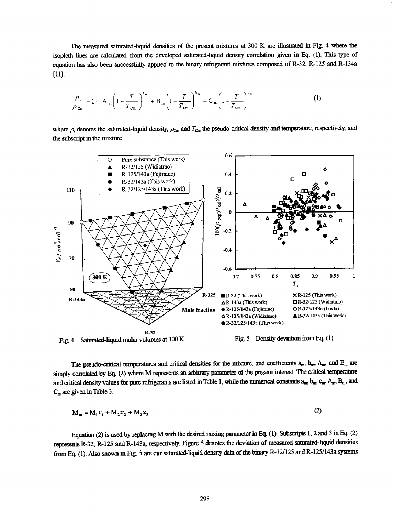The measured saturated-liquid densities of the present mixtures at 300 K are illustrated in Fig. 4 where the isopleth lines are calculated from the developed saturated-liquid density correlation given in Eq. (1). This type of equation has also been successfully applied to the binary refrigerant mixtures composed of R-32, R-125 and R-134a [11].

$$
\frac{\rho_{s}}{\rho_{\text{cm}}} - 1 = A_{m} \left( 1 - \frac{T}{T_{\text{cm}}} \right)^{a_{m}} + B_{m} \left( 1 - \frac{T}{T_{\text{cm}}} \right)^{b_{m}} + C_{m} \left( 1 - \frac{T}{T_{\text{cm}}} \right)^{c_{m}}
$$
(1)

where  $\rho_s$  denotes the saturated-liquid density,  $\rho_{\rm Cm}$  and  $T_{\rm Cm}$  the pseudo-critical density and temperature, respectively, and the subscript m the mixture.



The pseudo-critical temperatures and critical densities for the mixture, and coefficients  $a_m$ ,  $b_m$ ,  $A_m$ , and  $B_m$  are simply correlated by Eq. (2) where M represents an arbitrary parameter of the present interest. The critical temperature and critical density values for pure refrigerants are listed in Table 1, while the numerical constants  $a_m$ ,  $b_m$ ,  $c_m$ ,  $A_m$ ,  $B_m$ , and  $C_m$  are given in Table 3.

$$
M_m = M_1 x_1 + M_2 x_2 + M_3 x_3 \tag{2}
$$

Equation (2) is used by replacing M with the desired mixing parameter in Eq. (1). Subscripts 1, 2 and 3 in Eq. (2) represents R-32, R-125 and R-143a, respectively. Figure 5 denotes the deviation of measured satwated-liquid densities from Eq. (1). Also shown in Fig. 5 are our saturated-liquid density data of the binary R-321125 and R-125/143a systems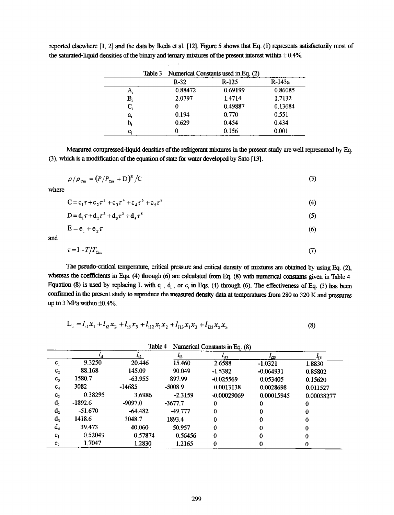|    |         |           |           |               |            | -- |
|----|---------|-----------|-----------|---------------|------------|----|
| C. | 0.38295 | 3.6986    | $-2.3159$ | $-0.00029069$ | 0.00015945 | 0. |
| d. | -1892.6 | -9097.0   | $-3677.7$ |               |            |    |
| d, | -51.670 | $-64.482$ | -49.777   |               |            |    |

 $d_3$  1418.6 3048.7 1893.4 0 0 0 0  $d_4$  39.473 40.060 50.957 0 0 0  $e_1$  0.52049 0.57874 0.56456 0 0 0 0  $e_2$  1.7047 1.2830 1.2165 0 0 0

| $L_1 = l_{11}x_1 + l_{12}x_2 + l_{13}x_3 + l_{112}x_1x_2 + l_{113}x_1x_3 + l_{123}x_2x_3$ |         |           |           |                                | $\left( 8\right)$ |            |
|-------------------------------------------------------------------------------------------|---------|-----------|-----------|--------------------------------|-------------------|------------|
|                                                                                           |         | Table 4   |           | Numerical Constants in Eq. (8) |                   |            |
|                                                                                           |         | - 17      | 43        | 412.                           | - 23              | -131       |
| c,                                                                                        | 9.3250  | 20.446    | 15.460    | 2,6588                         | $-1.0321$         | 1.8830     |
| c,                                                                                        | 88.168  | 145.09    | 90.049    | $-1.5382$                      | $-0.064931$       | 0.85802    |
| $c_{\rm a}$                                                                               | 1580.7  | $-63.955$ | 897.99    | $-0.025569$                    | 0.053405          | 0.15620    |
| $\mathbf{c}_4$                                                                            | 3082    | -14685    | $-5008.9$ | 0.0013138                      | 0.0028698         | 0.011527   |
| C,                                                                                        | 0.38295 | 3.6986    | $-2.3159$ | $-0.00029069$                  | 0.00015945        | 0.00038277 |

(3), which is a modification of the equation of state for water developed by Sato [13].

 $c_i$  0 0.156 0.001

Measured compressed-liquid densities of the refrigerant mixtures in the present study are well represented by Eq.

$$
\rho/\rho_{\rm Cm} = (P/P_{\rm Cm} + D)^{\rm E}/C \tag{3}
$$

where

$$
C = c_1 \tau + c_2 \tau^2 + c_3 \tau^4 + c_4 \tau^6 + c_5 \tau^9
$$
 (4)

$$
D = d_1 \tau + d_2 \tau^2 + d_3 \tau^3 + d_4 \tau^6 \tag{5}
$$

$$
E = e_1 + e_2 \tau \tag{6}
$$

and

$$
\tau = 1 - T/T_{\text{Cm}} \tag{7}
$$

The pseudo-critical temperature, critical pressure and critical density of mixtures are obtained by using Eq. (2),

whereas the coefficients in Eqs. (4) through (6) are calculated from Eq. (8) with numerical constants given in Table 4. Equation (8) is used by replacing L with  $c_i$ ,  $d_i$ , or  $e_i$  in Eqs. (4) through (6). The effectiveness of Eq. (3) has been

reported elsewhere [1, 2] and the data by Ikeda et al. [12]. Figure 5 shows that Eq. (1) represents satisfactorily most of the saturated-liquid densities of the binary and ternary mixtures of the present interest within 
$$
\pm 0.4\%
$$
.

Table 3 Numerical Constants used in Eq. (2)

| confirmed in the present study to reproduce the measured density data at temperatures from 280 to 320 K and pressures<br>up to 3 MPa within $\pm 0.4\%$ . |  |
|-----------------------------------------------------------------------------------------------------------------------------------------------------------|--|
|                                                                                                                                                           |  |
|                                                                                                                                                           |  |

$$
L_{i} = l_{i1}x_{1} + l_{i2}x_{2} + l_{i3}x_{3} + l_{i12}x_{1}x_{2} + l_{i13}x_{1}x_{3} + l_{i23}x_{2}x_{3}
$$
(8)

299

|    | $R-32$  | $R-125$ | R-143a  |
|----|---------|---------|---------|
|    | 0.88472 | 0.69199 | 0.86085 |
| В, | 2.0797  | 1.4714  | 1.7132  |
|    |         | 0.49887 | 0.13684 |
| a. | 0.194   | 0.770   | 0.551   |
| b. | 0.629   | 0.454   | 0.434   |